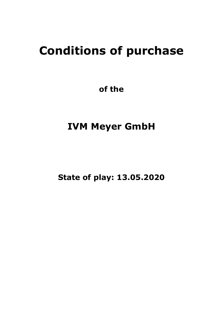# **Conditions of purchase**

**of the**

# **IVM Meyer GmbH**

**State of play: 13.05.2020**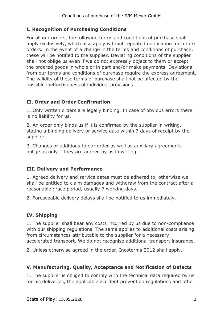# **I. Recognition of Purchasing Conditions**

For all our orders, the following terms and conditions of purchase shall apply exclusively, which also apply without repeated notification for future orders. In the event of a change in the terms and conditions of purchase, these will be notified to the supplier. Deviating conditions of the supplier shall not oblige us even if we do not expressly object to them or accept the ordered goods in whole or in part and/or make payments. Deviations from our terms and conditions of purchase require the express agreement. The validity of these terms of purchase shall not be affected by the possible ineffectiveness of individual provisions.

# **II. Order and Order Confirmation**

1. Only written orders are legally binding. In case of obvious errors there is no liability for us.

2. An order only binds us if it is confirmed by the supplier in writing, stating a binding delivery or service date within 7 days of receipt by the supplier.

3. Changes or additions to our order as well as auxiliary agreements oblige us only if they are agreed by us in writing.

# **III. Delivery and Performance**

1. Agreed delivery and service dates must be adhered to, otherwise we shall be entitled to claim damages and withdraw from the contract after a reasonable grace period, usually 7 working days.

2. Foreseeable delivery delays shall be notified to us immediately.

# **IV. Shipping**

1. The supplier shall bear any costs incurred by us due to non-compliance with our shipping regulations. The same applies to additional costs arising from circumstances attributable to the supplier for a necessary accelerated transport. We do not recognise additional transport insurance.

2. Unless otherwise agreed in the order, Incoterms 2012 shall apply.

# **V. Manufacturing, Quality, Acceptance and Notification of Defects**

1. The supplier is obliged to comply with the technical data required by us for his deliveries, the applicable accident prevention regulations and other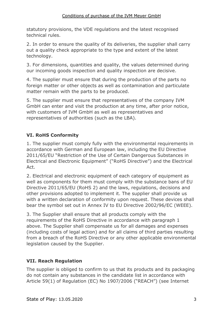statutory provisions, the VDE regulations and the latest recognised technical rules.

2. In order to ensure the quality of its deliveries, the supplier shall carry out a quality check appropriate to the type and extent of the latest technology.

3. For dimensions, quantities and quality, the values determined during our incoming goods inspection and quality inspection are decisive.

4. The supplier must ensure that during the production of the parts no foreign matter or other objects as well as contamination and particulate matter remain with the parts to be produced.

5. The supplier must ensure that representatives of the company IVM GmbH can enter and visit the production at any time, after prior notice, with customers of IVM GmbH as well as representatives and representatives of authorities (such as the LBA).

# **VI. RoHS Conformity**

1. The supplier must comply fully with the environmental requirements in accordance with German and European law, including the EU Directive 2011/65/EU "Restriction of the Use of Certain Dangerous Substances in Electrical and Electronic Equipment" ("RoHS Directive") and the Electrical Act.

2. Electrical and electronic equipment of each category of equipment as well as components for them must comply with the substance bans of EU Directive 2011/65/EU (RoHS 2) and the laws, regulations, decisions and other provisions adopted to implement it. The supplier shall provide us with a written declaration of conformity upon request. These devices shall bear the symbol set out in Annex IV to EU Directive 2002/96/EC (WEEE).

3. The Supplier shall ensure that all products comply with the requirements of the RoHS Directive in accordance with paragraph 1 above. The Supplier shall compensate us for all damages and expenses (including costs of legal action) and for all claims of third parties resulting from a breach of the RoHS Directive or any other applicable environmental legislation caused by the Supplier.

# **VII. Reach Regulation**

The supplier is obliged to confirm to us that its products and its packaging do not contain any substances in the candidate list in accordance with Article 59(1) of Regulation (EC) No 1907/2006 ("REACH") (see Internet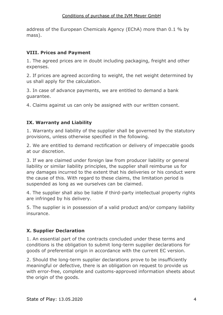address of the European Chemicals Agency (EChA) more than 0.1 % by mass).

#### **VIII. Prices and Payment**

1. The agreed prices are in doubt including packaging, freight and other expenses.

2. If prices are agreed according to weight, the net weight determined by us shall apply for the calculation.

3. In case of advance payments, we are entitled to demand a bank guarantee.

4. Claims against us can only be assigned with our written consent.

# **IX. Warranty and Liability**

1. Warranty and liability of the supplier shall be governed by the statutory provisions, unless otherwise specified in the following.

2. We are entitled to demand rectification or delivery of impeccable goods at our discretion.

3. If we are claimed under foreign law from producer liability or general liability or similar liability principles, the supplier shall reimburse us for any damages incurred to the extent that his deliveries or his conduct were the cause of this. With regard to these claims, the limitation period is suspended as long as we ourselves can be claimed.

4. The supplier shall also be liable if third-party intellectual property rights are infringed by his delivery.

5. The supplier is in possession of a valid product and/or company liability insurance.

# **X. Supplier Declaration**

1. An essential part of the contracts concluded under these terms and conditions is the obligation to submit long-term supplier declarations for goods of preferential origin in accordance with the current EC version.

2. Should the long-term supplier declarations prove to be insufficiently meaningful or defective, there is an obligation on request to provide us with error-free, complete and customs-approved information sheets about the origin of the goods.